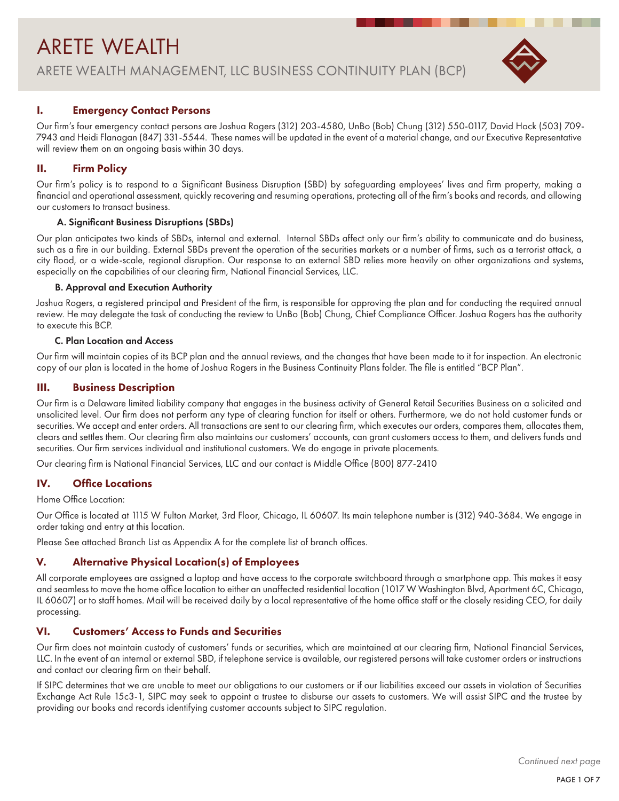# ARETE WEALTH ARETE WEALTH MANAGEMENT, LLC BUSINESS CONTINUITY PLAN (BCP)



# I. Emergency Contact Persons

Our firm's four emergency contact persons are Joshua Rogers (312) 203-4580, UnBo (Bob) Chung (312) 550-0117, David Hock (503) 709- 7943 and Heidi Flanagan (847) 331-5544. These names will be updated in the event of a material change, and our Executive Representative will review them on an ongoing basis within 30 days.

# II. Firm Policy

Our firm's policy is to respond to a Significant Business Disruption (SBD) by safeguarding employees' lives and firm property, making a financial and operational assessment, quickly recovering and resuming operations, protecting all of the firm's books and records, and allowing our customers to transact business.

## A. Significant Business Disruptions (SBDs)

Our plan anticipates two kinds of SBDs, internal and external. Internal SBDs affect only our firm's ability to communicate and do business, such as a fire in our building. External SBDs prevent the operation of the securities markets or a number of firms, such as a terrorist attack, a city flood, or a wide-scale, regional disruption. Our response to an external SBD relies more heavily on other organizations and systems, especially on the capabilities of our clearing firm, National Financial Services, LLC.

#### B. Approval and Execution Authority

Joshua Rogers, a registered principal and President of the firm, is responsible for approving the plan and for conducting the required annual review. He may delegate the task of conducting the review to UnBo (Bob) Chung, Chief Compliance Officer. Joshua Rogers has the authority to execute this BCP.

#### C. Plan Location and Access

Our firm will maintain copies of its BCP plan and the annual reviews, and the changes that have been made to it for inspection. An electronic copy of our plan is located in the home of Joshua Rogers in the Business Continuity Plans folder. The file is entitled "BCP Plan".

## III. Business Description

Our firm is a Delaware limited liability company that engages in the business activity of General Retail Securities Business on a solicited and unsolicited level. Our firm does not perform any type of clearing function for itself or others. Furthermore, we do not hold customer funds or securities. We accept and enter orders. All transactions are sent to our clearing firm, which executes our orders, compares them, allocates them, clears and settles them. Our clearing firm also maintains our customers' accounts, can grant customers access to them, and delivers funds and securities. Our firm services individual and institutional customers. We do engage in private placements.

Our clearing firm is National Financial Services, LLC and our contact is Middle Office (800) 877-2410

#### IV. Office Locations

Home Office Location:

Our Office is located at 1115 W Fulton Market, 3rd Floor, Chicago, IL 60607. Its main telephone number is (312) 940-3684. We engage in order taking and entry at this location.

Please See attached Branch List as Appendix A for the complete list of branch offices.

# V. Alternative Physical Location(s) of Employees

All corporate employees are assigned a laptop and have access to the corporate switchboard through a smartphone app. This makes it easy and seamless to move the home office location to either an unaffected residential location (1017 W Washington Blvd, Apartment 6C, Chicago, IL 60607) or to staff homes. Mail will be received daily by a local representative of the home office staff or the closely residing CEO, for daily processing.

# VI. Customers' Access to Funds and Securities

Our firm does not maintain custody of customers' funds or securities, which are maintained at our clearing firm, National Financial Services, LLC. In the event of an internal or external SBD, if telephone service is available, our registered persons will take customer orders or instructions and contact our clearing firm on their behalf.

If SIPC determines that we are unable to meet our obligations to our customers or if our liabilities exceed our assets in violation of Securities Exchange Act Rule 15c3-1, SIPC may seek to appoint a trustee to disburse our assets to customers. We will assist SIPC and the trustee by providing our books and records identifying customer accounts subject to SIPC regulation.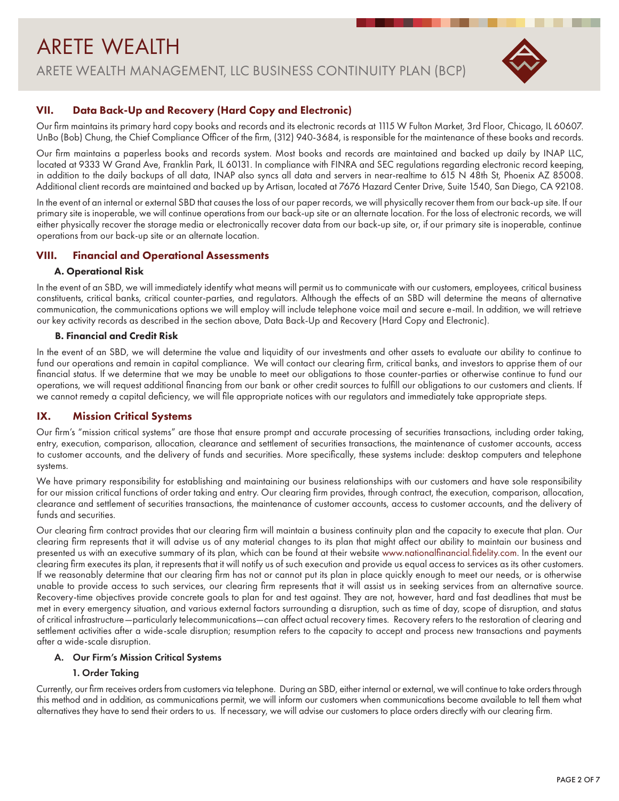# ARETE WEALTH ARETE WEALTH MANAGEMENT, LLC BUSINESS CONTINUITY PLAN (BCP)



# VII. Data Back-Up and Recovery (Hard Copy and Electronic)

Our firm maintains its primary hard copy books and records and its electronic records at 1115 W Fulton Market, 3rd Floor, Chicago, IL 60607. UnBo (Bob) Chung, the Chief Compliance Officer of the firm, (312) 940-3684, is responsible for the maintenance of these books and records.

Our firm maintains a paperless books and records system. Most books and records are maintained and backed up daily by INAP LLC, located at 9333 W Grand Ave, Franklin Park, IL 60131. In compliance with FINRA and SEC regulations regarding electronic record keeping, in addition to the daily backups of all data, INAP also syncs all data and servers in near-realtime to 615 N 48th St, Phoenix AZ 85008. Additional client records are maintained and backed up by Artisan, located at 7676 Hazard Center Drive, Suite 1540, San Diego, CA 92108.

In the event of an internal or external SBD that causes the loss of our paper records, we will physically recover them from our back-up site. If our primary site is inoperable, we will continue operations from our back-up site or an alternate location. For the loss of electronic records, we will either physically recover the storage media or electronically recover data from our back-up site, or, if our primary site is inoperable, continue operations from our back-up site or an alternate location.

# VIII. Financial and Operational Assessments

## A. Operational Risk

In the event of an SBD, we will immediately identify what means will permit us to communicate with our customers, employees, critical business constituents, critical banks, critical counter-parties, and regulators. Although the effects of an SBD will determine the means of alternative communication, the communications options we will employ will include telephone voice mail and secure e-mail. In addition, we will retrieve our key activity records as described in the section above, Data Back-Up and Recovery (Hard Copy and Electronic).

# B. Financial and Credit Risk

In the event of an SBD, we will determine the value and liquidity of our investments and other assets to evaluate our ability to continue to fund our operations and remain in capital compliance. We will contact our clearing firm, critical banks, and investors to apprise them of our financial status. If we determine that we may be unable to meet our obligations to those counter-parties or otherwise continue to fund our operations, we will request additional financing from our bank or other credit sources to fulfill our obligations to our customers and clients. If we cannot remedy a capital deficiency, we will file appropriate notices with our regulators and immediately take appropriate steps.

# IX. Mission Critical Systems

Our firm's "mission critical systems" are those that ensure prompt and accurate processing of securities transactions, including order taking, entry, execution, comparison, allocation, clearance and settlement of securities transactions, the maintenance of customer accounts, access to customer accounts, and the delivery of funds and securities. More specifically, these systems include: desktop computers and telephone systems.

We have primary responsibility for establishing and maintaining our business relationships with our customers and have sole responsibility for our mission critical functions of order taking and entry. Our clearing firm provides, through contract, the execution, comparison, allocation, clearance and settlement of securities transactions, the maintenance of customer accounts, access to customer accounts, and the delivery of funds and securities.

Our clearing firm contract provides that our clearing firm will maintain a business continuity plan and the capacity to execute that plan. Our clearing firm represents that it will advise us of any material changes to its plan that might affect our ability to maintain our business and presented us with an executive summary of its plan, which can be found at their website www.nationalfinancial.fidelity.com. In the event our clearing firm executes its plan, it represents that it will notify us of such execution and provide us equal access to services as its other customers. If we reasonably determine that our clearing firm has not or cannot put its plan in place quickly enough to meet our needs, or is otherwise unable to provide access to such services, our clearing firm represents that it will assist us in seeking services from an alternative source. Recovery-time objectives provide concrete goals to plan for and test against. They are not, however, hard and fast deadlines that must be met in every emergency situation, and various external factors surrounding a disruption, such as time of day, scope of disruption, and status of critical infrastructure—particularly telecommunications—can affect actual recovery times. Recovery refers to the restoration of clearing and settlement activities after a wide-scale disruption; resumption refers to the capacity to accept and process new transactions and payments after a wide-scale disruption.

#### A. Our Firm's Mission Critical Systems

# 1. Order Taking

Currently, our firm receives orders from customers via telephone. During an SBD, either internal or external, we will continue to take orders through this method and in addition, as communications permit, we will inform our customers when communications become available to tell them what alternatives they have to send their orders to us. If necessary, we will advise our customers to place orders directly with our clearing firm.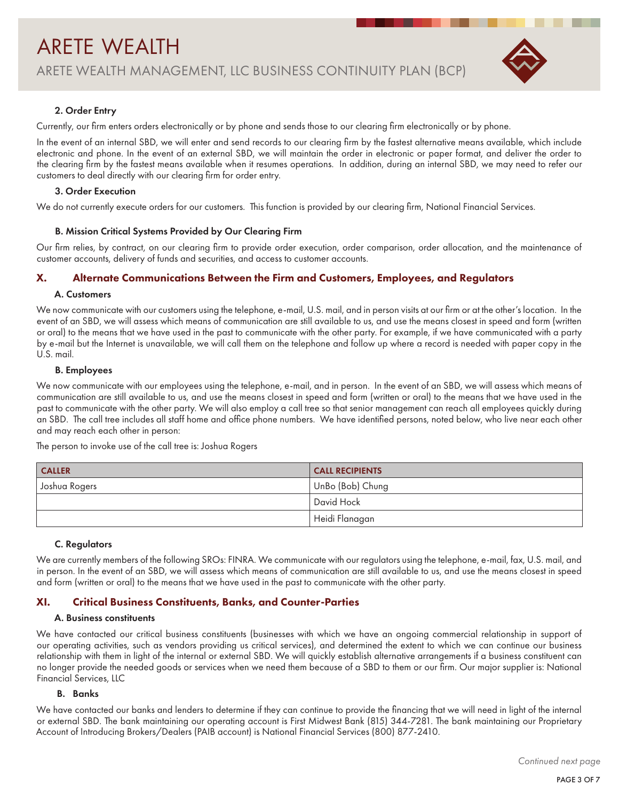

#### 2. Order Entry

Currently, our firm enters orders electronically or by phone and sends those to our clearing firm electronically or by phone.

In the event of an internal SBD, we will enter and send records to our clearing firm by the fastest alternative means available, which include electronic and phone. In the event of an external SBD, we will maintain the order in electronic or paper format, and deliver the order to the clearing firm by the fastest means available when it resumes operations. In addition, during an internal SBD, we may need to refer our customers to deal directly with our clearing firm for order entry.

#### 3. Order Execution

We do not currently execute orders for our customers. This function is provided by our clearing firm, National Financial Services.

#### B. Mission Critical Systems Provided by Our Clearing Firm

Our firm relies, by contract, on our clearing firm to provide order execution, order comparison, order allocation, and the maintenance of customer accounts, delivery of funds and securities, and access to customer accounts.

#### X. Alternate Communications Between the Firm and Customers, Employees, and Regulators

#### A. Customers

We now communicate with our customers using the telephone, e-mail, U.S. mail, and in person visits at our firm or at the other's location. In the event of an SBD, we will assess which means of communication are still available to us, and use the means closest in speed and form (written or oral) to the means that we have used in the past to communicate with the other party. For example, if we have communicated with a party by e-mail but the Internet is unavailable, we will call them on the telephone and follow up where a record is needed with paper copy in the U.S. mail.

#### B. Employees

We now communicate with our employees using the telephone, e-mail, and in person. In the event of an SBD, we will assess which means of communication are still available to us, and use the means closest in speed and form (written or oral) to the means that we have used in the past to communicate with the other party. We will also employ a call tree so that senior management can reach all employees quickly during an SBD. The call tree includes all staff home and office phone numbers. We have identified persons, noted below, who live near each other and may reach each other in person:

The person to invoke use of the call tree is: Joshua Rogers

| <b>CALLER</b> | <b>CALL RECIPIENTS</b> |
|---------------|------------------------|
| Joshua Rogers | UnBo (Bob) Chung       |
|               | David Hock             |
|               | Heidi Flanagan         |

#### C. Regulators

We are currently members of the following SROs: FINRA. We communicate with our regulators using the telephone, e-mail, fax, U.S. mail, and in person. In the event of an SBD, we will assess which means of communication are still available to us, and use the means closest in speed and form (written or oral) to the means that we have used in the past to communicate with the other party.

#### XI. Critical Business Constituents, Banks, and Counter-Parties

#### A. Business constituents

We have contacted our critical business constituents (businesses with which we have an ongoing commercial relationship in support of our operating activities, such as vendors providing us critical services), and determined the extent to which we can continue our business relationship with them in light of the internal or external SBD. We will quickly establish alternative arrangements if a business constituent can no longer provide the needed goods or services when we need them because of a SBD to them or our firm. Our major supplier is: National Financial Services, LLC

#### B. Banks

We have contacted our banks and lenders to determine if they can continue to provide the financing that we will need in light of the internal or external SBD. The bank maintaining our operating account is First Midwest Bank (815) 344-7281. The bank maintaining our Proprietary Account of Introducing Brokers/Dealers (PAIB account) is National Financial Services (800) 877-2410.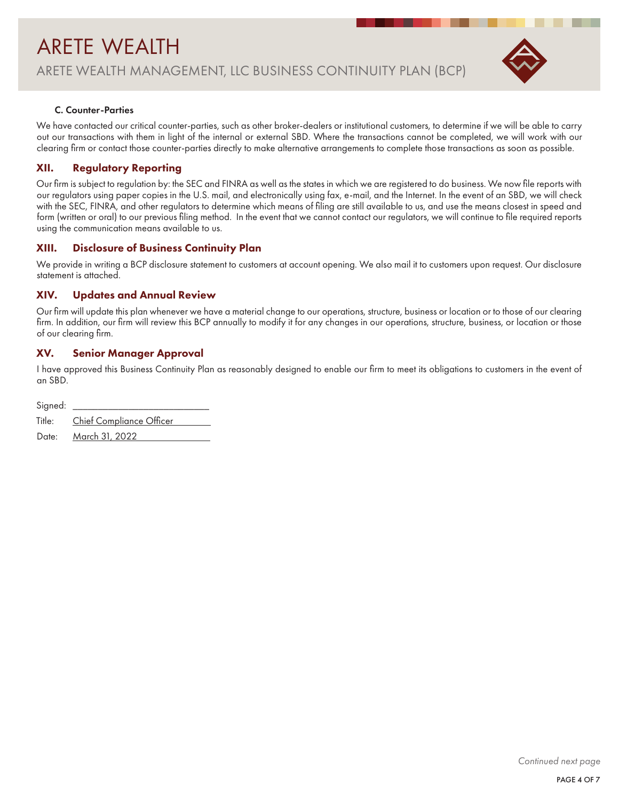

#### C. Counter-Parties

We have contacted our critical counter-parties, such as other broker-dealers or institutional customers, to determine if we will be able to carry out our transactions with them in light of the internal or external SBD. Where the transactions cannot be completed, we will work with our clearing firm or contact those counter-parties directly to make alternative arrangements to complete those transactions as soon as possible.

# XII. Regulatory Reporting

Our firm is subject to regulation by: the SEC and FINRA as well as the states in which we are registered to do business. We now file reports with our regulators using paper copies in the U.S. mail, and electronically using fax, e-mail, and the Internet. In the event of an SBD, we will check with the SEC, FINRA, and other regulators to determine which means of filing are still available to us, and use the means closest in speed and form (written or oral) to our previous filing method. In the event that we cannot contact our regulators, we will continue to file required reports using the communication means available to us.

# XIII. Disclosure of Business Continuity Plan

We provide in writing a BCP disclosure statement to customers at account opening. We also mail it to customers upon request. Our disclosure statement is attached.

## XIV. Updates and Annual Review

Our firm will update this plan whenever we have a material change to our operations, structure, business or location or to those of our clearing firm. In addition, our firm will review this BCP annually to modify it for any changes in our operations, structure, business, or location or those of our clearing firm.

# XV. Senior Manager Approval

I have approved this Business Continuity Plan as reasonably designed to enable our firm to meet its obligations to customers in the event of an SBD.

| Signed: |                                 |
|---------|---------------------------------|
|         | Title: Chief Compliance Officer |
|         | Date: March 31, 2022            |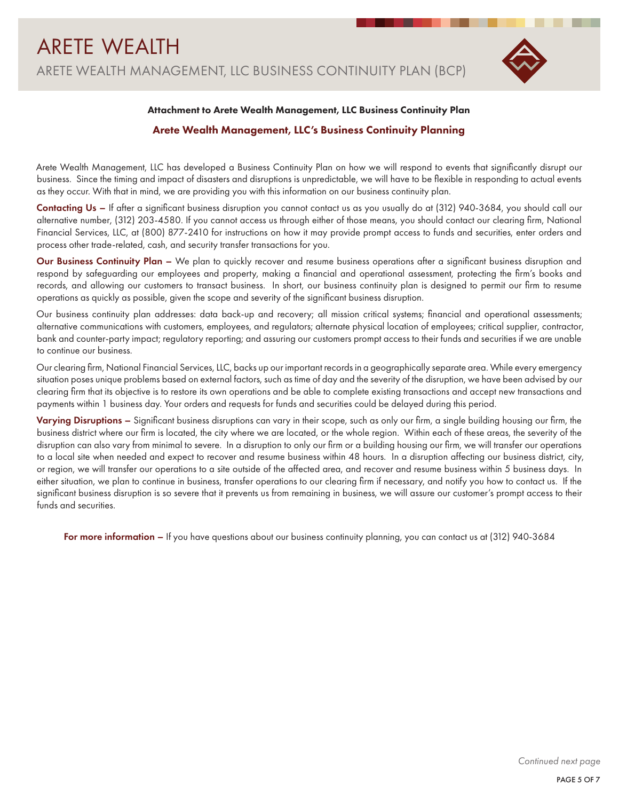

#### Attachment to Arete Wealth Management, LLC Business Continuity Plan

#### Arete Wealth Management, LLC's Business Continuity Planning

Arete Wealth Management, LLC has developed a Business Continuity Plan on how we will respond to events that significantly disrupt our business. Since the timing and impact of disasters and disruptions is unpredictable, we will have to be flexible in responding to actual events as they occur. With that in mind, we are providing you with this information on our business continuity plan.

Contacting Us – If after a significant business disruption you cannot contact us as you usually do at (312) 940-3684, you should call our alternative number, (312) 203-4580. If you cannot access us through either of those means, you should contact our clearing firm, National Financial Services, LLC, at (800) 877-2410 for instructions on how it may provide prompt access to funds and securities, enter orders and process other trade-related, cash, and security transfer transactions for you.

Our Business Continuity Plan – We plan to quickly recover and resume business operations after a significant business disruption and respond by safeguarding our employees and property, making a financial and operational assessment, protecting the firm's books and records, and allowing our customers to transact business. In short, our business continuity plan is designed to permit our firm to resume operations as quickly as possible, given the scope and severity of the significant business disruption.

Our business continuity plan addresses: data back-up and recovery; all mission critical systems; financial and operational assessments; alternative communications with customers, employees, and regulators; alternate physical location of employees; critical supplier, contractor, bank and counter-party impact; regulatory reporting; and assuring our customers prompt access to their funds and securities if we are unable to continue our business.

Our clearing firm, National Financial Services, LLC, backs up our important records in a geographically separate area. While every emergency situation poses unique problems based on external factors, such as time of day and the severity of the disruption, we have been advised by our clearing firm that its objective is to restore its own operations and be able to complete existing transactions and accept new transactions and payments within 1 business day. Your orders and requests for funds and securities could be delayed during this period.

Varying Disruptions – Significant business disruptions can vary in their scope, such as only our firm, a single building housing our firm, the business district where our firm is located, the city where we are located, or the whole region. Within each of these areas, the severity of the disruption can also vary from minimal to severe. In a disruption to only our firm or a building housing our firm, we will transfer our operations to a local site when needed and expect to recover and resume business within 48 hours. In a disruption affecting our business district, city, or region, we will transfer our operations to a site outside of the affected area, and recover and resume business within 5 business days. In either situation, we plan to continue in business, transfer operations to our clearing firm if necessary, and notify you how to contact us. If the significant business disruption is so severe that it prevents us from remaining in business, we will assure our customer's prompt access to their funds and securities.

For more information – If you have questions about our business continuity planning, you can contact us at (312) 940-3684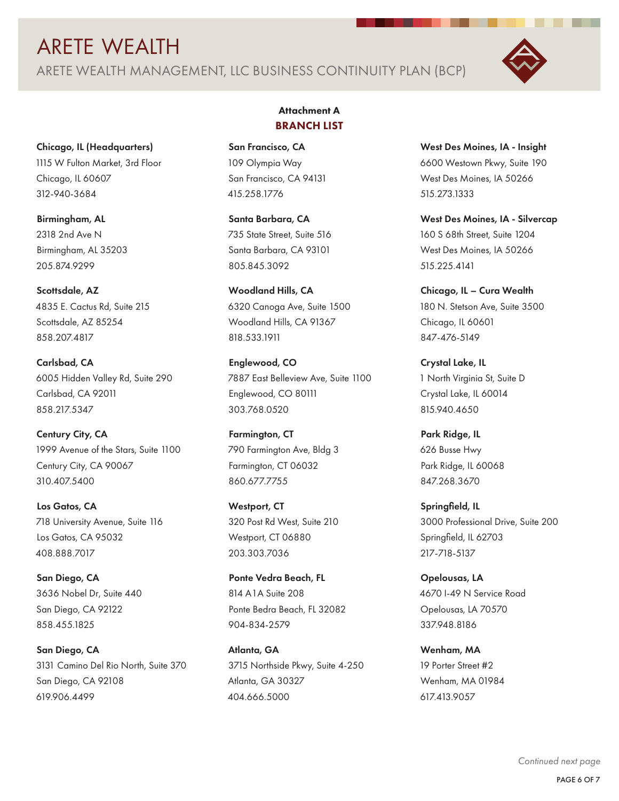# ARETE WEALTH ARETE WEALTH MANAGEMENT, LLC BUSINESS CONTINUITY PLAN (BCP)



Chicago, IL (Headquarters) 1115 W Fulton Market, 3rd Floor Chicago, IL 60607 312-940-3684

Birmingham, AL 2318 2nd Ave N Birmingham, AL 35203 205.874.9299

Scottsdale, AZ 4835 E. Cactus Rd, Suite 215 Scottsdale, AZ 85254 858.207.4817

Carlsbad, CA 6005 Hidden Valley Rd, Suite 290 Carlsbad, CA 92011 858.217.5347

Century City, CA 1999 Avenue of the Stars, Suite 1100 Century City, CA 90067 310.407.5400

Los Gatos, CA 718 University Avenue, Suite 116 Los Gatos, CA 95032 408.888.7017

San Diego, CA 3636 Nobel Dr, Suite 440 San Diego, CA 92122 858.455.1825

San Diego, CA 3131 Camino Del Rio North, Suite 370 San Diego, CA 92108 619.906.4499

# Attachment A BRANCH LIST

San Francisco, CA 109 Olympia Way San Francisco, CA 94131 415.258.1776

Santa Barbara, CA 735 State Street, Suite 516 Santa Barbara, CA 93101 805.845.3092

Woodland Hills, CA 6320 Canoga Ave, Suite 1500 Woodland Hills, CA 91367 818.533.1911

Englewood, CO 7887 East Belleview Ave, Suite 1100 Englewood, CO 80111 303.768.0520

Farmington, CT 790 Farmington Ave, Bldg 3 Farmington, CT 06032 860.677.7755

Westport, CT 320 Post Rd West, Suite 210 Westport, CT 06880 203.303.7036

Ponte Vedra Beach, FL 814 A1A Suite 208 Ponte Bedra Beach, FL 32082 904-834-2579

Atlanta, GA 3715 Northside Pkwy, Suite 4-250 Atlanta, GA 30327 404.666.5000

West Des Moines, IA - Insight 6600 Westown Pkwy, Suite 190 West Des Moines, IA 50266 515.273.1333

West Des Moines, IA - Silvercap 160 S 68th Street, Suite 1204 West Des Moines, IA 50266 515.225.4141

Chicago, IL – Cura Wealth 180 N. Stetson Ave, Suite 3500 Chicago, IL 60601 847-476-5149

Crystal Lake, IL 1 North Virginia St, Suite D Crystal Lake, IL 60014 815.940.4650

Park Ridge, IL 626 Busse Hwy Park Ridge, IL 60068 847.268.3670

Springfield, IL 3000 Professional Drive, Suite 200 Springfield, IL 62703 217-718-5137

Opelousas, LA 4670 I-49 N Service Road Opelousas, LA 70570 337.948.8186

Wenham, MA 19 Porter Street #2 Wenham, MA 01984 617.413.9057